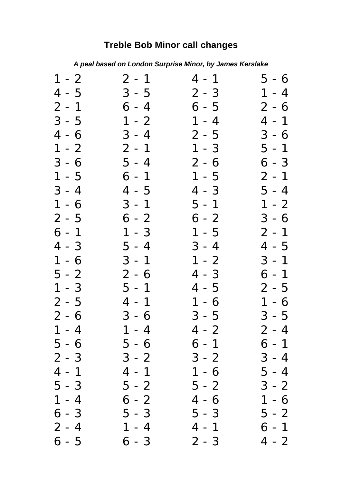## **Treble Bob Minor call changes**

*A peal based on London Surprise Minor, by James Kerslake*

| $1 - 2$ | $2 - 1$ | $4 - 1$ | 5 - 6   |
|---------|---------|---------|---------|
| $4 - 5$ | $3 - 5$ | $2 - 3$ | $1 - 4$ |
| $2 - 1$ | $6 - 4$ | $6 - 5$ | $2 - 6$ |
| $3 - 5$ | $1 - 2$ | $1 - 4$ | $4 - 1$ |
| $4 - 6$ | $3 - 4$ | $2 - 5$ | $3 - 6$ |
| $1 - 2$ | $2 - 1$ | $1 - 3$ | $5 - 1$ |
| $3 - 6$ | $5 - 4$ | $2 - 6$ | $6 - 3$ |
| $1 - 5$ | $6 - 1$ | $1 - 5$ | $2 - 1$ |
| $3 - 4$ | $4 - 5$ | $4 - 3$ | $5 - 4$ |
| $1 - 6$ | $3 - 1$ | $5 - 1$ | $1 - 2$ |
| $2 - 5$ | $6 - 2$ | 6 - 2   | $3 - 6$ |
| $6 - 1$ | $1 - 3$ | $1 - 5$ | $2 - 1$ |
| $4 - 3$ | $5 - 4$ | $3 - 4$ | 4 - 5   |
| $1 - 6$ | $3 - 1$ | $1 - 2$ | $3 - 1$ |
| 5 - 2   | $2 - 6$ | $4 - 3$ | $6 - 1$ |
| $1 - 3$ | $5 - 1$ | $4 - 5$ | 2 - 5   |
| $2 - 5$ | $4 - 1$ | $1 - 6$ | $1 - 6$ |
| $2 - 6$ | $3 - 6$ | $3 - 5$ | $3 - 5$ |
| $1 - 4$ | $1 - 4$ | $4 - 2$ | $2 - 4$ |
| $5 - 6$ | 5 - 6   | 6 - 1   | 6 - 1   |
| 2 - 3   | 3 - 2   | 3 - 2   | $3 - 4$ |
| 4 - 1   | 4 - 1   | 1 - 6   | 5 - 4   |
| 5 - 3   | 5 - 2   | $5 - 2$ | $3 - 2$ |
| $1 - 4$ | $6 - 2$ | 4 - 6   | 1 - 6   |
| 6 - 3   | 5 - 3   | 5 - 3   | 5 - 2   |
| $2 - 4$ | $1 - 4$ | 4 - 1   | 6 - 1   |
| 6 - 5   | $6 - 3$ | $2 - 3$ | $4 - 2$ |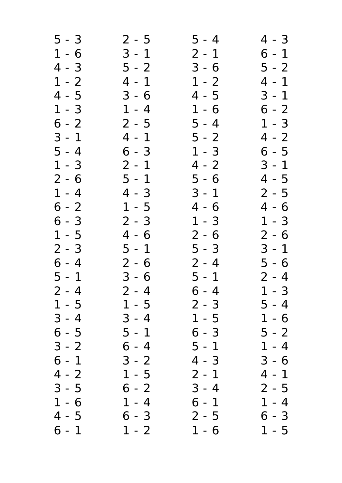| $5 - 3$                | $2 - 5$ | $5 - 4$ | $4 - 3$ |
|------------------------|---------|---------|---------|
| $1 - 6$                | $3 - 1$ | $2 - 1$ | $6 - 1$ |
| $4 - 3$                | $5 - 2$ | $3 - 6$ | $5 - 2$ |
| $1 - 2$                | $4 - 1$ | $1 - 2$ | $4 - 1$ |
| $4 - 5$                | $3 - 6$ | $4 - 5$ | $3 - 1$ |
| $1 - 3$                | $1 - 4$ | $1 - 6$ | $6 - 2$ |
| $6 - 2$                | $2 - 5$ | $5 - 4$ | $1 - 3$ |
| $3 - 1$                | $4 - 1$ | $5 - 2$ | $4 - 2$ |
| $5 - 4$                | $6 - 3$ | $1 - 3$ | $6 - 5$ |
| $1 - 3$                | $2 - 1$ | $4 - 2$ | $3 - 1$ |
| $2 - 6$                | $5 - 1$ | $5 - 6$ | $4 - 5$ |
| $1 - 4$                | $4 - 3$ | $3 - 1$ | $2 - 5$ |
| $6 - 2$                | $1 - 5$ | $4 - 6$ | $4 - 6$ |
| $6 - 3$                | $2 - 3$ | $1 - 3$ | $1 - 3$ |
| $1 - 5$                | $4 - 6$ | $2 - 6$ | $2 - 6$ |
| $2 - 3$                | $5 - 1$ | $5 - 3$ | $3 - 1$ |
| $6 - 4$                | $2 - 6$ | $2 - 4$ | $5 - 6$ |
| $5 - 1$                | $3 - 6$ | $5 - 1$ | $2 - 4$ |
| $2 - 4$                | $2 - 4$ | $6 - 4$ | $1 - 3$ |
| $\mathbf{1}$<br>- 5    | $1 - 5$ | $2 - 3$ | $5 - 4$ |
| $3 - 4$                | $3 - 4$ | $1 - 5$ | $1 - 6$ |
| $6 - 5$                | 5 - 1   | $6 - 3$ | 5 - 2   |
| $3 - 2$                | $6 - 4$ | 5 - 1   | $1 - 4$ |
| $6 - 1$                | $3 - 2$ | $4 - 3$ | $3 - 6$ |
| $\overline{4}$<br>$-2$ | $1 - 5$ | $2 - 1$ | 4 - 1   |
| $3 - 5$                | $6 - 2$ | $3 - 4$ | $2 - 5$ |
| $\mathbf 1$<br>$-6$    | $1 - 4$ | $6 - 1$ | $1 - 4$ |
| $4 - 5$                | $6 - 3$ | $2 - 5$ | 6 - 3   |
| $6 - 1$                | $1 - 2$ | $1 - 6$ | $1 - 5$ |
|                        |         |         |         |